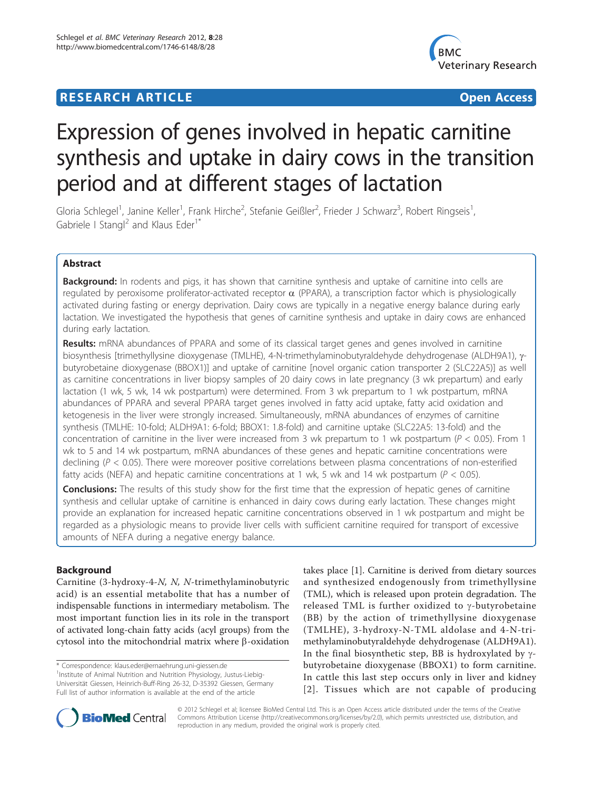## **RESEARCH ARTICLE Example 2018 12:30 THE Open Access**



# Expression of genes involved in hepatic carnitine synthesis and uptake in dairy cows in the transition period and at different stages of lactation

Gloria Schlegel<sup>1</sup>, Janine Keller<sup>1</sup>, Frank Hirche<sup>2</sup>, Stefanie Geißler<sup>2</sup>, Frieder J Schwarz<sup>3</sup>, Robert Ringseis<sup>1</sup> , Gabriele I Stangl<sup>2</sup> and Klaus Eder<sup>1\*</sup>

## Abstract

**Background:** In rodents and pigs, it has shown that carnitine synthesis and uptake of carnitine into cells are regulated by peroxisome proliferator-activated receptor  $\alpha$  (PPARA), a transcription factor which is physiologically activated during fasting or energy deprivation. Dairy cows are typically in a negative energy balance during early lactation. We investigated the hypothesis that genes of carnitine synthesis and uptake in dairy cows are enhanced during early lactation.

Results: mRNA abundances of PPARA and some of its classical target genes and genes involved in carnitine biosynthesis [trimethyllysine dioxygenase (TMLHE), 4-N-trimethylaminobutyraldehyde dehydrogenase (ALDH9A1), ybutyrobetaine dioxygenase (BBOX1)] and uptake of carnitine [novel organic cation transporter 2 (SLC22A5)] as well as carnitine concentrations in liver biopsy samples of 20 dairy cows in late pregnancy (3 wk prepartum) and early lactation (1 wk, 5 wk, 14 wk postpartum) were determined. From 3 wk prepartum to 1 wk postpartum, mRNA abundances of PPARΑ and several PPARΑ target genes involved in fatty acid uptake, fatty acid oxidation and ketogenesis in the liver were strongly increased. Simultaneously, mRNA abundances of enzymes of carnitine synthesis (TMLHE: 10-fold; ALDH9A1: 6-fold; BBOX1: 1.8-fold) and carnitine uptake (SLC22A5: 13-fold) and the concentration of carnitine in the liver were increased from 3 wk prepartum to 1 wk postpartum ( $P < 0.05$ ). From 1 wk to 5 and 14 wk postpartum, mRNA abundances of these genes and hepatic carnitine concentrations were declining ( $P < 0.05$ ). There were moreover positive correlations between plasma concentrations of non-esterified fatty acids (NEFA) and hepatic carnitine concentrations at 1 wk, 5 wk and 14 wk postpartum ( $P < 0.05$ ).

**Conclusions:** The results of this study show for the first time that the expression of hepatic genes of carnitine synthesis and cellular uptake of carnitine is enhanced in dairy cows during early lactation. These changes might provide an explanation for increased hepatic carnitine concentrations observed in 1 wk postpartum and might be regarded as a physiologic means to provide liver cells with sufficient carnitine required for transport of excessive amounts of NEFA during a negative energy balance.

## Background

Carnitine (3-hydroxy-4-N, N, N-trimethylaminobutyric acid) is an essential metabolite that has a number of indispensable functions in intermediary metabolism. The most important function lies in its role in the transport of activated long-chain fatty acids (acyl groups) from the cytosol into the mitochondrial matrix where b-oxidation

\* Correspondence: [klaus.eder@ernaehrung.uni-giessen.de](mailto:klaus.eder@ernaehrung.uni-giessen.de)

takes place [\[1\]](#page-10-0). Carnitine is derived from dietary sources and synthesized endogenously from trimethyllysine (TML), which is released upon protein degradation. The released TML is further oxidized to  $\gamma$ -butyrobetaine (BB) by the action of trimethyllysine dioxygenase (TMLHE), 3-hydroxy-N-TML aldolase and 4-N-trimethylaminobutyraldehyde dehydrogenase (ALDH9A1). In the final biosynthetic step, BB is hydroxylated by  $\gamma$ butyrobetaine dioxygenase (BBOX1) to form carnitine. In cattle this last step occurs only in liver and kidney [[2\]](#page-10-0). Tissues which are not capable of producing



© 2012 Schlegel et al; licensee BioMed Central Ltd. This is an Open Access article distributed under the terms of the Creative Commons Attribution License [\(http://creativecommons.org/licenses/by/2.0](http://creativecommons.org/licenses/by/2.0)), which permits unrestricted use, distribution, and reproduction in any medium, provided the original work is properly cited.

<sup>&</sup>lt;sup>1</sup>Institute of Animal Nutrition and Nutrition Physiology, Justus-Liebig-Universität Giessen, Heinrich-Buff-Ring 26-32, D-35392 Giessen, Germany Full list of author information is available at the end of the article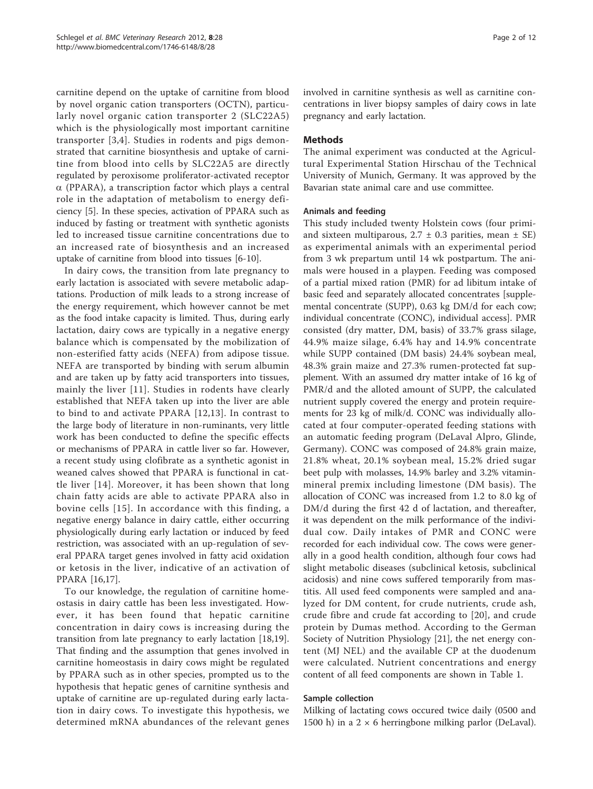carnitine depend on the uptake of carnitine from blood by novel organic cation transporters (OCTN), particularly novel organic cation transporter 2 (SLC22A5) which is the physiologically most important carnitine transporter [[3](#page-10-0),[4\]](#page-10-0). Studies in rodents and pigs demonstrated that carnitine biosynthesis and uptake of carnitine from blood into cells by SLC22A5 are directly regulated by peroxisome proliferator-activated receptor  $\alpha$  (PPARA), a transcription factor which plays a central role in the adaptation of metabolism to energy deficiency [[5](#page-10-0)]. In these species, activation of PPARA such as induced by fasting or treatment with synthetic agonists led to increased tissue carnitine concentrations due to an increased rate of biosynthesis and an increased uptake of carnitine from blood into tissues [\[6](#page-10-0)-[10](#page-10-0)].

In dairy cows, the transition from late pregnancy to early lactation is associated with severe metabolic adaptations. Production of milk leads to a strong increase of the energy requirement, which however cannot be met as the food intake capacity is limited. Thus, during early lactation, dairy cows are typically in a negative energy balance which is compensated by the mobilization of non-esterified fatty acids (NEFA) from adipose tissue. NEFA are transported by binding with serum albumin and are taken up by fatty acid transporters into tissues, mainly the liver [[11](#page-10-0)]. Studies in rodents have clearly established that NEFA taken up into the liver are able to bind to and activate PPARA [[12,13\]](#page-10-0). In contrast to the large body of literature in non-ruminants, very little work has been conducted to define the specific effects or mechanisms of PPARA in cattle liver so far. However, a recent study using clofibrate as a synthetic agonist in weaned calves showed that PPARA is functional in cattle liver [[14](#page-10-0)]. Moreover, it has been shown that long chain fatty acids are able to activate PPARA also in bovine cells [[15\]](#page-10-0). In accordance with this finding, a negative energy balance in dairy cattle, either occurring physiologically during early lactation or induced by feed restriction, was associated with an up-regulation of several PPARA target genes involved in fatty acid oxidation or ketosis in the liver, indicative of an activation of PPARA [[16,17\]](#page-10-0).

To our knowledge, the regulation of carnitine homeostasis in dairy cattle has been less investigated. However, it has been found that hepatic carnitine concentration in dairy cows is increasing during the transition from late pregnancy to early lactation [\[18,19](#page-10-0)]. That finding and the assumption that genes involved in carnitine homeostasis in dairy cows might be regulated by PPARA such as in other species, prompted us to the hypothesis that hepatic genes of carnitine synthesis and uptake of carnitine are up-regulated during early lactation in dairy cows. To investigate this hypothesis, we determined mRNA abundances of the relevant genes involved in carnitine synthesis as well as carnitine concentrations in liver biopsy samples of dairy cows in late pregnancy and early lactation.

## Methods

The animal experiment was conducted at the Agricultural Experimental Station Hirschau of the Technical University of Munich, Germany. It was approved by the Bavarian state animal care and use committee.

## Animals and feeding

This study included twenty Holstein cows (four primiand sixteen multiparous,  $2.7 \pm 0.3$  parities, mean  $\pm$  SE) as experimental animals with an experimental period from 3 wk prepartum until 14 wk postpartum. The animals were housed in a playpen. Feeding was composed of a partial mixed ration (PMR) for ad libitum intake of basic feed and separately allocated concentrates [supplemental concentrate (SUPP), 0.63 kg DM/d for each cow; individual concentrate (CONC), individual access]. PMR consisted (dry matter, DM, basis) of 33.7% grass silage, 44.9% maize silage, 6.4% hay and 14.9% concentrate while SUPP contained (DM basis) 24.4% soybean meal, 48.3% grain maize and 27.3% rumen-protected fat supplement. With an assumed dry matter intake of 16 kg of PMR/d and the alloted amount of SUPP, the calculated nutrient supply covered the energy and protein requirements for 23 kg of milk/d. CONC was individually allocated at four computer-operated feeding stations with an automatic feeding program (DeLaval Alpro, Glinde, Germany). CONC was composed of 24.8% grain maize, 21.8% wheat, 20.1% soybean meal, 15.2% dried sugar beet pulp with molasses, 14.9% barley and 3.2% vitaminmineral premix including limestone (DM basis). The allocation of CONC was increased from 1.2 to 8.0 kg of DM/d during the first 42 d of lactation, and thereafter, it was dependent on the milk performance of the individual cow. Daily intakes of PMR and CONC were recorded for each individual cow. The cows were generally in a good health condition, although four cows had slight metabolic diseases (subclinical ketosis, subclinical acidosis) and nine cows suffered temporarily from mastitis. All used feed components were sampled and analyzed for DM content, for crude nutrients, crude ash, crude fibre and crude fat according to [[20\]](#page-10-0), and crude protein by Dumas method. According to the German Society of Nutrition Physiology [\[21](#page-10-0)], the net energy content (MJ NEL) and the available CP at the duodenum were calculated. Nutrient concentrations and energy content of all feed components are shown in Table [1](#page-2-0).

## Sample collection

Milking of lactating cows occured twice daily (0500 and 1500 h) in a  $2 \times 6$  herringbone milking parlor (DeLaval).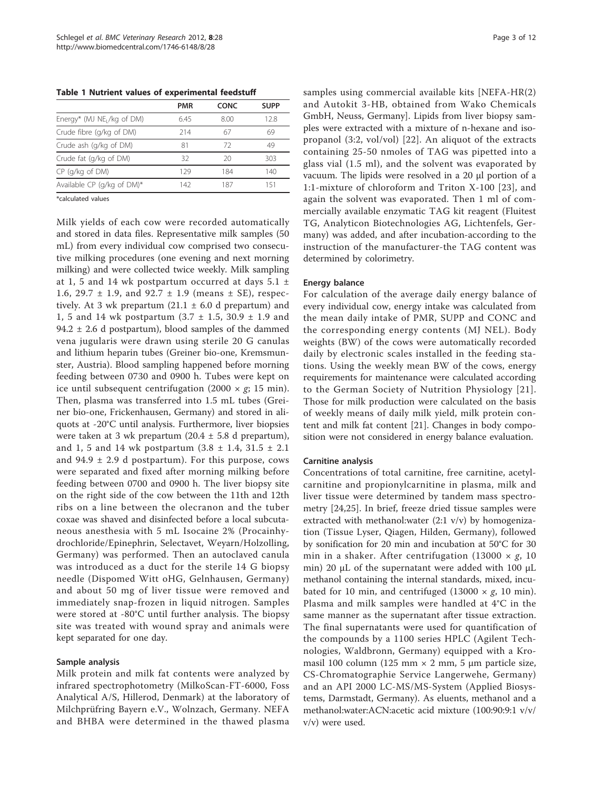<span id="page-2-0"></span>Table 1 Nutrient values of experimental feedstuff

| <b>PMR</b> | CONC | <b>SUPP</b> |
|------------|------|-------------|
| 6.45       | 8.00 | 12.8        |
| 214        | 67   | 69          |
| 81         | 72   | 49          |
| 32         | 20   | 303         |
| 129        | 184  | 140         |
| 142        | 187  | 151         |
|            |      |             |

\*calculated values

Milk yields of each cow were recorded automatically and stored in data files. Representative milk samples (50 mL) from every individual cow comprised two consecutive milking procedures (one evening and next morning milking) and were collected twice weekly. Milk sampling at 1, 5 and 14 wk postpartum occurred at days  $5.1 \pm$ 1.6, 29.7  $\pm$  1.9, and 92.7  $\pm$  1.9 (means  $\pm$  SE), respectively. At 3 wk prepartum  $(21.1 \pm 6.0 \text{ d}$  prepartum) and 1, 5 and 14 wk postpartum (3.7 ± 1.5, 30.9 ± 1.9 and 94.2  $\pm$  2.6 d postpartum), blood samples of the dammed vena jugularis were drawn using sterile 20 G canulas and lithium heparin tubes (Greiner bio-one, Kremsmunster, Austria). Blood sampling happened before morning feeding between 0730 and 0900 h. Tubes were kept on ice until subsequent centrifugation (2000  $\times$  g; 15 min). Then, plasma was transferred into 1.5 mL tubes (Greiner bio-one, Frickenhausen, Germany) and stored in aliquots at -20°C until analysis. Furthermore, liver biopsies were taken at 3 wk prepartum  $(20.4 \pm 5.8 \text{ d} \text{ prepartum})$ , and 1, 5 and 14 wk postpartum  $(3.8 \pm 1.4, 31.5 \pm 2.1)$ and  $94.9 \pm 2.9$  d postpartum). For this purpose, cows were separated and fixed after morning milking before feeding between 0700 and 0900 h. The liver biopsy site on the right side of the cow between the 11th and 12th ribs on a line between the olecranon and the tuber coxae was shaved and disinfected before a local subcutaneous anesthesia with 5 mL Isocaine 2% (Procainhydrochloride/Epinephrin, Selectavet, Weyarn/Holzolling, Germany) was performed. Then an autoclaved canula was introduced as a duct for the sterile 14 G biopsy needle (Dispomed Witt oHG, Gelnhausen, Germany) and about 50 mg of liver tissue were removed and immediately snap-frozen in liquid nitrogen. Samples were stored at -80°C until further analysis. The biopsy site was treated with wound spray and animals were kept separated for one day.

#### Sample analysis

Milk protein and milk fat contents were analyzed by infrared spectrophotometry (MilkoScan-FT-6000, Foss Analytical A/S, Hillerod, Denmark) at the laboratory of Milchprüfring Bayern e.V., Wolnzach, Germany. NEFA and BHBA were determined in the thawed plasma samples using commercial available kits [NEFA-HR(2) and Autokit 3-HB, obtained from Wako Chemicals GmbH, Neuss, Germany]. Lipids from liver biopsy samples were extracted with a mixture of n-hexane and isopropanol (3:2, vol/vol) [[22](#page-10-0)]. An aliquot of the extracts containing 25-50 nmoles of TAG was pipetted into a glass vial (1.5 ml), and the solvent was evaporated by vacuum. The lipids were resolved in a 20 μl portion of a 1:1-mixture of chloroform and Triton X-100 [[23](#page-11-0)], and again the solvent was evaporated. Then 1 ml of commercially available enzymatic TAG kit reagent (Fluitest TG, Analyticon Biotechnologies AG, Lichtenfels, Germany) was added, and after incubation-according to the instruction of the manufacturer-the TAG content was determined by colorimetry.

#### Energy balance

For calculation of the average daily energy balance of every individual cow, energy intake was calculated from the mean daily intake of PMR, SUPP and CONC and the corresponding energy contents (MJ NEL). Body weights (BW) of the cows were automatically recorded daily by electronic scales installed in the feeding stations. Using the weekly mean BW of the cows, energy requirements for maintenance were calculated according to the German Society of Nutrition Physiology [[21\]](#page-10-0). Those for milk production were calculated on the basis of weekly means of daily milk yield, milk protein content and milk fat content [[21\]](#page-10-0). Changes in body composition were not considered in energy balance evaluation.

#### Carnitine analysis

Concentrations of total carnitine, free carnitine, acetylcarnitine and propionylcarnitine in plasma, milk and liver tissue were determined by tandem mass spectrometry [[24](#page-11-0),[25\]](#page-11-0). In brief, freeze dried tissue samples were extracted with methanol:water (2:1 v/v) by homogenization (Tissue Lyser, Qiagen, Hilden, Germany), followed by sonification for 20 min and incubation at 50°C for 30 min in a shaker. After centrifugation (13000  $\times g$ , 10 min) 20 μL of the supernatant were added with 100 μL methanol containing the internal standards, mixed, incubated for 10 min, and centrifuged (13000  $\times g$ , 10 min). Plasma and milk samples were handled at 4°C in the same manner as the supernatant after tissue extraction. The final supernatants were used for quantification of the compounds by a 1100 series HPLC (Agilent Technologies, Waldbronn, Germany) equipped with a Kromasil 100 column (125 mm  $\times$  2 mm, 5 µm particle size, CS-Chromatographie Service Langerwehe, Germany) and an API 2000 LC-MS/MS-System (Applied Biosystems, Darmstadt, Germany). As eluents, methanol and a methanol:water:ACN:acetic acid mixture (100:90:9:1 v/v/ v/v) were used.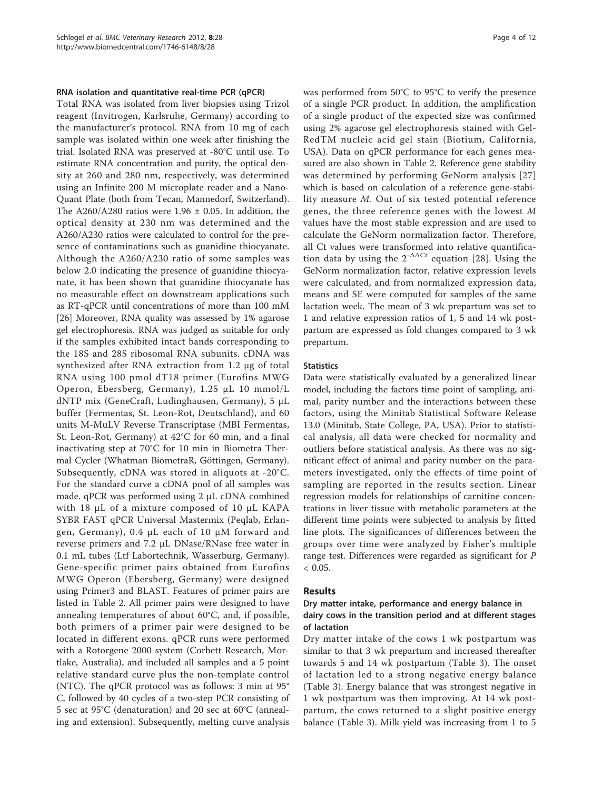#### RNA isolation and quantitative real-time PCR (qPCR)

Total RNA was isolated from liver biopsies using Trizol reagent (Invitrogen, Karlsruhe, Germany) according to the manufacturer's protocol. RNA from 10 mg of each sample was isolated within one week after finishing the trial. Isolated RNA was preserved at -80°C until use. To estimate RNA concentration and purity, the optical density at 260 and 280 nm, respectively, was determined using an Infinite 200 M microplate reader and a Nano-Quant Plate (both from Tecan, Mannedorf, Switzerland). The A260/A280 ratios were  $1.96 \pm 0.05$ . In addition, the optical density at 230 nm was determined and the A260/A230 ratios were calculated to control for the presence of contaminations such as guanidine thiocyanate. Although the A260/A230 ratio of some samples was below 2.0 indicating the presence of guanidine thiocyanate, it has been shown that guanidine thiocyanate has no measurable effect on downstream applications such as RT-qPCR until concentrations of more than 100 mM [[26\]](#page-11-0) Moreover, RNA quality was assessed by 1% agarose gel electrophoresis. RNA was judged as suitable for only if the samples exhibited intact bands corresponding to the 18S and 28S ribosomal RNA subunits. cDNA was synthesized after RNA extraction from 1.2 μg of total RNA using 100 pmol dT18 primer (Eurofins MWG Operon, Ebersberg, Germany), 1.25 μL 10 mmol/L dNTP mix (GeneCraft, Ludinghausen, Germany), 5 μL buffer (Fermentas, St. Leon-Rot, Deutschland), and 60 units M-MuLV Reverse Transcriptase (MBI Fermentas, St. Leon-Rot, Germany) at 42°C for 60 min, and a final inactivating step at 70°C for 10 min in Biometra Thermal Cycler (Whatman BiometraR, Göttingen, Germany). Subsequently, cDNA was stored in aliquots at -20°C. For the standard curve a cDNA pool of all samples was made. qPCR was performed using 2 μL cDNA combined with 18 μL of a mixture composed of 10 μL KAPA SYBR FAST qPCR Universal Mastermix (Peqlab, Erlangen, Germany), 0.4 μL each of 10 μM forward and reverse primers and 7.2 μL DNase/RNase free water in 0.1 mL tubes (Ltf Labortechnik, Wasserburg, Germany). Gene-specific primer pairs obtained from Eurofins MWG Operon (Ebersberg, Germany) were designed using Primer3 and BLAST. Features of primer pairs are listed in Table [2](#page-4-0). All primer pairs were designed to have annealing temperatures of about 60°C, and, if possible, both primers of a primer pair were designed to be located in different exons. qPCR runs were performed with a Rotorgene 2000 system (Corbett Research, Mortlake, Australia), and included all samples and a 5 point relative standard curve plus the non-template control (NTC). The qPCR protocol was as follows: 3 min at 95° C, followed by 40 cycles of a two-step PCR consisting of 5 sec at 95°C (denaturation) and 20 sec at 60°C (annealing and extension). Subsequently, melting curve analysis was performed from 50°C to 95°C to verify the presence of a single PCR product. In addition, the amplification of a single product of the expected size was confirmed using 2% agarose gel electrophoresis stained with Gel-RedTM nucleic acid gel stain (Biotium, California, USA). Data on qPCR performance for each genes measured are also shown in Table [2.](#page-4-0) Reference gene stability was determined by performing GeNorm analysis [[27](#page-11-0)] which is based on calculation of a reference gene-stability measure M. Out of six tested potential reference genes, the three reference genes with the lowest M values have the most stable expression and are used to calculate the GeNorm normalization factor. Therefore, all Ct values were transformed into relative quantification data by using the  $2^{-\Delta\Delta Ct}$  equation [[28\]](#page-11-0). Using the GeNorm normalization factor, relative expression levels were calculated, and from normalized expression data, means and SE were computed for samples of the same lactation week. The mean of 3 wk prepartum was set to 1 and relative expression ratios of 1, 5 and 14 wk postpartum are expressed as fold changes compared to 3 wk prepartum.

#### **Statistics**

Data were statistically evaluated by a generalized linear model, including the factors time point of sampling, animal, parity number and the interactions between these factors, using the Minitab Statistical Software Release 13.0 (Minitab, State College, PA, USA). Prior to statistical analysis, all data were checked for normality and outliers before statistical analysis. As there was no significant effect of animal and parity number on the parameters investigated, only the effects of time point of sampling are reported in the results section. Linear regression models for relationships of carnitine concentrations in liver tissue with metabolic parameters at the different time points were subjected to analysis by fitted line plots. The significances of differences between the groups over time were analyzed by Fisher's multiple range test. Differences were regarded as significant for P  $< 0.05$ .

## Results

## Dry matter intake, performance and energy balance in dairy cows in the transition period and at different stages of lactation

Dry matter intake of the cows 1 wk postpartum was similar to that 3 wk prepartum and increased thereafter towards 5 and 14 wk postpartum (Table [3\)](#page-5-0). The onset of lactation led to a strong negative energy balance (Table [3](#page-5-0)). Energy balance that was strongest negative in 1 wk postpartum was then improving. At 14 wk postpartum, the cows returned to a slight positive energy balance (Table [3](#page-5-0)). Milk yield was increasing from 1 to 5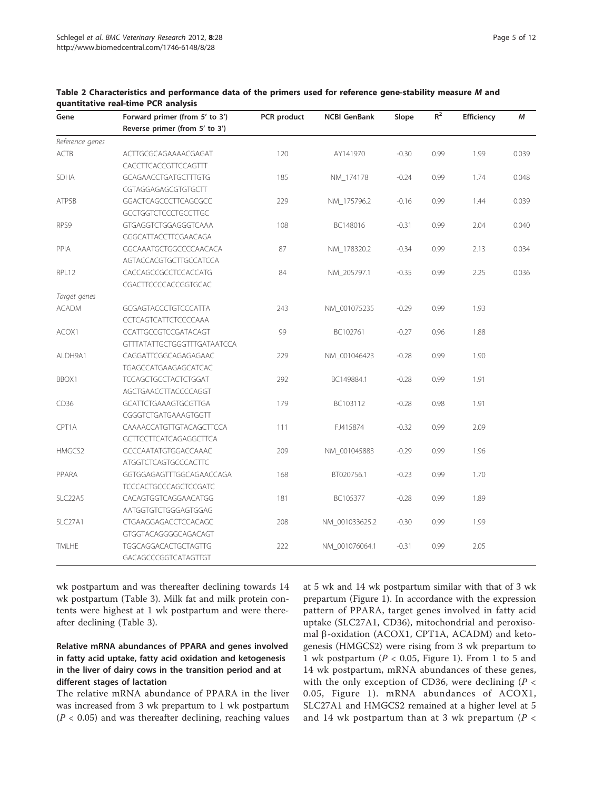| Gene                 | Forward primer (from 5' to 3')     | PCR product | <b>NCBI GenBank</b> | Slope   | $R^2$ | Efficiency | М     |
|----------------------|------------------------------------|-------------|---------------------|---------|-------|------------|-------|
|                      | Reverse primer (from 5' to 3')     |             |                     |         |       |            |       |
| Reference genes      |                                    |             |                     |         |       |            |       |
| <b>ACTB</b>          | ACTTGCGCAGAAAACGAGAT               | 120         | AY141970            | $-0.30$ | 0.99  | 1.99       | 0.039 |
|                      | CACCTTCACCGTTCCAGTTT               |             |                     |         |       |            |       |
| <b>SDHA</b>          | <b>GCAGAACCTGATGCTTTGTG</b>        | 185         | NM_174178           | $-0.24$ | 0.99  | 1.74       | 0.048 |
|                      | CGTAGGAGAGCGTGTGCTT                |             |                     |         |       |            |       |
| ATP5B                | GGACTCAGCCCTTCAGCGCC               | 229         | NM_175796.2         | $-0.16$ | 0.99  | 1.44       | 0.039 |
|                      | GCCTGGTCTCCCTGCCTTGC               |             |                     |         |       |            |       |
| RPS9                 | GTGAGGTCTGGAGGGTCAAA               | 108         | BC148016            | $-0.31$ | 0.99  | 2.04       | 0.040 |
|                      | GGGCATTACCTTCGAACAGA               |             |                     |         |       |            |       |
| PPIA                 | GGCAAATGCTGGCCCCAACACA             | 87          | NM_178320.2         | $-0.34$ | 0.99  | 2.13       | 0.034 |
|                      | AGTACCACGTGCTTGCCATCCA             |             |                     |         |       |            |       |
| RPL12                | CACCAGCCGCCTCCACCATG               | 84          | NM_205797.1         | $-0.35$ | 0.99  | 2.25       | 0.036 |
|                      | CGACTTCCCCACCGGTGCAC               |             |                     |         |       |            |       |
| Target genes         |                                    |             |                     |         |       |            |       |
| <b>ACADM</b>         | GCGAGTACCCTGTCCCATTA               | 243         | NM_001075235        | $-0.29$ | 0.99  | 1.93       |       |
|                      | CCTCAGTCATTCTCCCCCAAA              |             |                     |         |       |            |       |
| ACOX1                | CCATTGCCGTCCGATACAGT               | 99          | BC102761            | $-0.27$ | 0.96  | 1.88       |       |
|                      | <b>GTTTATATTGCTGGGTTTGATAATCCA</b> |             |                     |         |       |            |       |
| ALDH9A1              | CAGGATTCGGCAGAGAGAAC               | 229         | NM_001046423        | $-0.28$ | 0.99  | 1.90       |       |
|                      | TGAGCCATGAAGAGCATCAC               |             |                     |         |       |            |       |
| BBOX1                | <b>TCCAGCTGCCTACTCTGGAT</b>        | 292         | BC149884.1          | $-0.28$ | 0.99  | 1.91       |       |
|                      | AGCTGAACCTTACCCCAGGT               |             |                     |         |       |            |       |
| CD36                 | <b>GCATTCTGAAAGTGCGTTGA</b>        | 179         | BC103112            | $-0.28$ | 0.98  | 1.91       |       |
|                      | CGGGTCTGATGAAAGTGGTT               |             |                     |         |       |            |       |
| CPT1A                | CAAAACCATGTTGTACAGCTTCCA           | 111         | FJ415874            | $-0.32$ | 0.99  | 2.09       |       |
|                      | <b>GCTTCCTTCATCAGAGGCTTCA</b>      |             |                     |         |       |            |       |
| HMGCS2               | GCCCAATATGTGGACCAAAC               | 209         | NM 001045883        | $-0.29$ | 0.99  | 1.96       |       |
|                      | <b>ATGGTCTCAGTGCCCACTTC</b>        |             |                     |         |       |            |       |
| PPARA                | GGTGGAGAGTTTGGCAGAACCAGA           | 168         | BT020756.1          | $-0.23$ | 0.99  | 1.70       |       |
|                      | <b>TCCCACTGCCCAGCTCCGATC</b>       |             |                     |         |       |            |       |
| SLC <sub>22</sub> A5 | CACAGTGGTCAGGAACATGG               | 181         | BC105377            | $-0.28$ | 0.99  | 1.89       |       |
|                      | AATGGTGTCTGGGAGTGGAG               |             |                     |         |       |            |       |
| SLC27A1              | CTGAAGGAGACCTCCACAGC               | 208         | NM_001033625.2      | $-0.30$ | 0.99  | 1.99       |       |
|                      | GTGGTACAGGGGCAGACAGT               |             |                     |         |       |            |       |
| TMLHE                | TGGCAGGACACTGCTAGTTG               | 222         | NM_001076064.1      | $-0.31$ | 0.99  | 2.05       |       |
|                      | GACAGCCCGGTCATAGTTGT               |             |                     |         |       |            |       |

<span id="page-4-0"></span>Table 2 Characteristics and performance data of the primers used for reference gene-stability measure M and quantitative real-time PCR analysis

wk postpartum and was thereafter declining towards 14 wk postpartum (Table [3\)](#page-5-0). Milk fat and milk protein contents were highest at 1 wk postpartum and were thereafter declining (Table [3\)](#page-5-0).

## Relative mRNA abundances of PPARA and genes involved in fatty acid uptake, fatty acid oxidation and ketogenesis in the liver of dairy cows in the transition period and at different stages of lactation

The relative mRNA abundance of PPARA in the liver was increased from 3 wk prepartum to 1 wk postpartum  $(P < 0.05)$  and was thereafter declining, reaching values at 5 wk and 14 wk postpartum similar with that of 3 wk prepartum (Figure [1](#page-6-0)). In accordance with the expression pattern of PPARA, target genes involved in fatty acid uptake (SLC27A1, CD36), mitochondrial and peroxisomal  $\beta$ -oxidation (ACOX1, CPT1A, ACADM) and ketogenesis (HMGCS2) were rising from 3 wk prepartum to 1 wk postpartum ( $P < 0.05$ , Figure [1\)](#page-6-0). From 1 to 5 and 14 wk postpartum, mRNA abundances of these genes, with the only exception of CD36, were declining ( $P <$ 0.05, Figure [1](#page-6-0)). mRNA abundances of ACOX1, SLC27A1 and HMGCS2 remained at a higher level at 5 and 14 wk postpartum than at 3 wk prepartum ( $P <$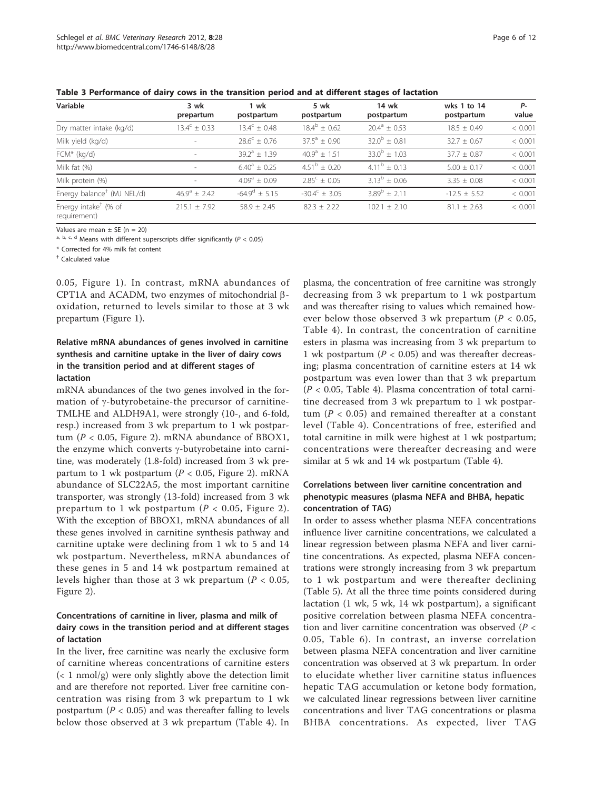<span id="page-5-0"></span>

|  |  |  |  |  | Table 3 Performance of dairy cows in the transition period and at different stages of lactation |
|--|--|--|--|--|-------------------------------------------------------------------------------------------------|
|--|--|--|--|--|-------------------------------------------------------------------------------------------------|

| Variable                                         | 3 wk<br>prepartum       | 1 wk<br>postpartum      | 5 wk<br>postpartum      | 14 wk<br>postpartum | wks 1 to 14<br>postpartum | P-<br>value |
|--------------------------------------------------|-------------------------|-------------------------|-------------------------|---------------------|---------------------------|-------------|
| Dry matter intake (kg/d)                         | $13.4^{\circ} \pm 0.33$ | $13.4^c + 0.48$         | $18.4^{\circ} \pm 0.62$ | $20.4^a + 0.53$     | $18.5 + 0.49$             | < 0.001     |
| Milk yield (kg/d)                                |                         | $28.6^{\circ} \pm 0.76$ | $37.5^a + 0.90$         | $32.0^b + 0.81$     | $32.7 \pm 0.67$           | < 0.001     |
| $FCM*$ (kg/d)                                    |                         | $39.2^a + 1.39$         | $40.9^a + 1.51$         | $33.0^b \pm 1.03$   | $37.7 + 0.87$             | < 0.001     |
| Milk fat (%)                                     |                         | $6.40^a \pm 0.25$       | $4.51^{\rm b} \pm 0.20$ | $4.11^b + 0.13$     | $5.00 \pm 0.17$           | < 0.001     |
| Milk protein (%)                                 |                         | $4.09^a \pm 0.09$       | $2.85^{\circ} + 0.05$   | $3.13^b + 0.06$     | $3.35 \pm 0.08$           | < 0.001     |
| Energy balance <sup>†</sup> (MJ NEL/d)           | $46.9^a \pm 2.42$       | $-64.9^{\circ} + 5.15$  | $-30.4^{\circ} + 3.05$  | $3.89^{b} + 2.11$   | $-12.5 \pm 5.52$          | < 0.001     |
| Energy intake <sup>+</sup> (% of<br>requirement) | $215.1 \pm 7.92$        | $58.9 + 2.45$           | $82.3 \pm 2.22$         | $102.1 \pm 2.10$    | $81.1 \pm 2.63$           | < 0.001     |

Values are mean  $\pm$  SE (n = 20)

a, b, c, d Means with different superscripts differ significantly ( $P < 0.05$ )

\* Corrected for 4% milk fat content

† Calculated value

0.05, Figure [1](#page-6-0)). In contrast, mRNA abundances of CPT1A and ACADM, two enzymes of mitochondrial  $\beta$ oxidation, returned to levels similar to those at 3 wk prepartum (Figure [1\)](#page-6-0).

## Relative mRNA abundances of genes involved in carnitine synthesis and carnitine uptake in the liver of dairy cows in the transition period and at different stages of lactation

mRNA abundances of the two genes involved in the formation of  $\gamma$ -butyrobetaine-the precursor of carnitine-TMLHE and ALDH9A1, were strongly (10-, and 6-fold, resp.) increased from 3 wk prepartum to 1 wk postpartum ( $P < 0.05$ , Figure [2\)](#page-7-0). mRNA abundance of BBOX1, the enzyme which converts  $\gamma$ -butyrobetaine into carnitine, was moderately (1.8-fold) increased from 3 wk prepartum to 1 wk postpartum ( $P < 0.05$ , Figure [2](#page-7-0)). mRNA abundance of SLC22A5, the most important carnitine transporter, was strongly (13-fold) increased from 3 wk prepartum to 1 wk postpartum ( $P < 0.05$ , Figure [2\)](#page-7-0). With the exception of BBOX1, mRNA abundances of all these genes involved in carnitine synthesis pathway and carnitine uptake were declining from 1 wk to 5 and 14 wk postpartum. Nevertheless, mRNA abundances of these genes in 5 and 14 wk postpartum remained at levels higher than those at 3 wk prepartum ( $P < 0.05$ , Figure [2](#page-7-0)).

## Concentrations of carnitine in liver, plasma and milk of dairy cows in the transition period and at different stages of lactation

In the liver, free carnitine was nearly the exclusive form of carnitine whereas concentrations of carnitine esters  $\left($  < 1 nmol/g) were only slightly above the detection limit and are therefore not reported. Liver free carnitine concentration was rising from 3 wk prepartum to 1 wk postpartum ( $P < 0.05$ ) and was thereafter falling to levels below those observed at 3 wk prepartum (Table [4](#page-7-0)). In

plasma, the concentration of free carnitine was strongly decreasing from 3 wk prepartum to 1 wk postpartum and was thereafter rising to values which remained however below those observed 3 wk prepartum ( $P < 0.05$ , Table [4\)](#page-7-0). In contrast, the concentration of carnitine esters in plasma was increasing from 3 wk prepartum to 1 wk postpartum ( $P < 0.05$ ) and was thereafter decreasing; plasma concentration of carnitine esters at 14 wk postpartum was even lower than that 3 wk prepartum  $(P < 0.05,$  Table [4\)](#page-7-0). Plasma concentration of total carnitine decreased from 3 wk prepartum to 1 wk postpartum ( $P < 0.05$ ) and remained thereafter at a constant level (Table [4\)](#page-7-0). Concentrations of free, esterified and total carnitine in milk were highest at 1 wk postpartum; concentrations were thereafter decreasing and were similar at 5 wk and 14 wk postpartum (Table [4\)](#page-7-0).

## Correlations between liver carnitine concentration and phenotypic measures (plasma NEFA and BHBA, hepatic concentration of TAG)

In order to assess whether plasma NEFA concentrations influence liver carnitine concentrations, we calculated a linear regression between plasma NEFA and liver carnitine concentrations. As expected, plasma NEFA concentrations were strongly increasing from 3 wk prepartum to 1 wk postpartum and were thereafter declining (Table [5](#page-8-0)). At all the three time points considered during lactation (1 wk, 5 wk, 14 wk postpartum), a significant positive correlation between plasma NEFA concentration and liver carnitine concentration was observed ( $P <$ 0.05, Table [6\)](#page-9-0). In contrast, an inverse correlation between plasma NEFA concentration and liver carnitine concentration was observed at 3 wk prepartum. In order to elucidate whether liver carnitine status influences hepatic TAG accumulation or ketone body formation, we calculated linear regressions between liver carnitine concentrations and liver TAG concentrations or plasma BHBA concentrations. As expected, liver TAG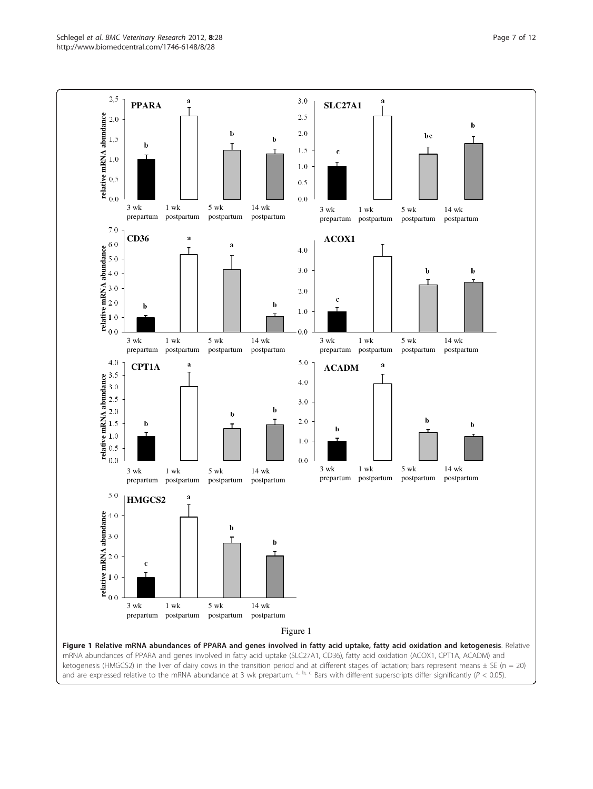<span id="page-6-0"></span>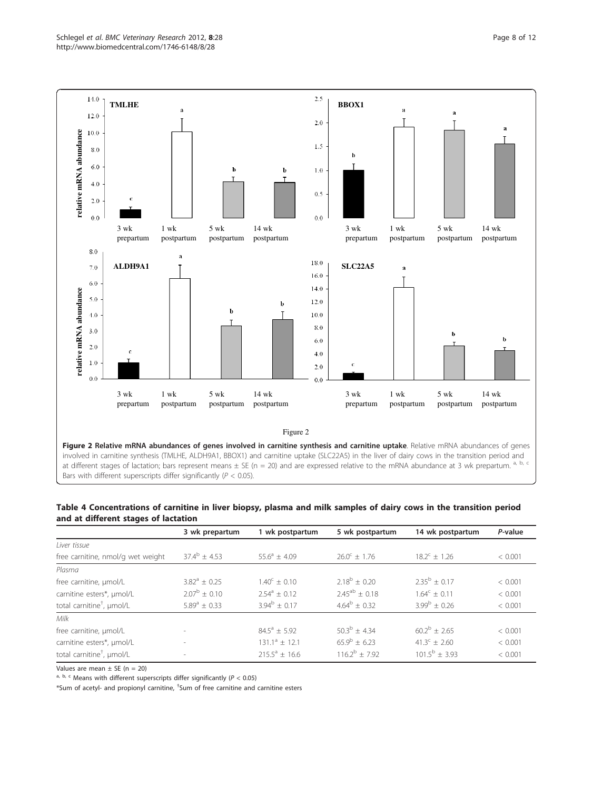<span id="page-7-0"></span>

Bars with different superscripts differ significantly ( $P < 0.05$ ).

| Table 4 Concentrations of carnitine in liver biopsy, plasma and milk samples of dairy cows in the transition period |  |
|---------------------------------------------------------------------------------------------------------------------|--|
| and at different stages of lactation                                                                                |  |

|                                       | 3 wk prepartum          | 1 wk postpartum       | 5 wk postpartum       | 14 wk postpartum        | P-value |
|---------------------------------------|-------------------------|-----------------------|-----------------------|-------------------------|---------|
| l iver tissue                         |                         |                       |                       |                         |         |
| free carnitine, nmol/g wet weight     | $37.4^{\circ} \pm 4.53$ | $55.6^a + 4.09$       | $26.0^{\circ} + 1.76$ | $18.2^{\circ} \pm 1.26$ | < 0.001 |
| Plasma                                |                         |                       |                       |                         |         |
| free carnitine, µmol/L                | $3.82^a + 0.25$         | $1.40^{\circ} + 0.10$ | $2.18^b + 0.20$       | $2.35^{b} + 0.17$       | < 0.001 |
| carnitine esters*, µmol/L             | $2.07^{\rm b}$ + 0.10   | $2.54^a + 0.12$       | $2.45^{ab} + 0.18$    | $1.64^c + 0.11$         | < 0.001 |
| total carnitine <sup>+</sup> , µmol/L | $5.89^a + 0.33$         | $3.94^b + 0.17$       | $4.64^b + 0.32$       | $3.99^{\rm b} + 0.26$   | < 0.001 |
| Milk                                  |                         |                       |                       |                         |         |
| free carnitine, µmol/L                |                         | $84.5^a + 5.92$       | $50.3^b + 4.34$       | $60.2^b + 2.65$         | < 0.001 |
| carnitine esters*, µmol/L             |                         | $131.1^a + 12.1$      | $65.9^{\rm b} + 6.23$ | $41.3^c + 2.60$         | < 0.001 |
| total carnitine <sup>+</sup> , µmol/L |                         | $215.5^a + 16.6$      | $116.2^b + 7.92$      | $101.5^{\rm b}$ + 3.93  | < 0.001 |

Values are mean  $\pm$  SE (n = 20)

a, b, c Means with different superscripts differ significantly ( $P < 0.05$ )

\*Sum of acetyl- and propionyl carnitine, <sup>†</sup>Sum of free carnitine and carnitine esters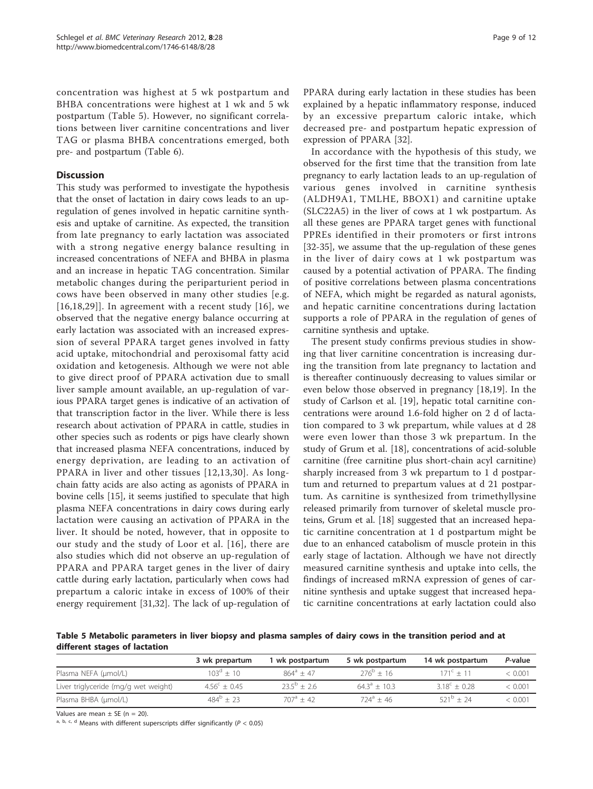<span id="page-8-0"></span>concentration was highest at 5 wk postpartum and BHBA concentrations were highest at 1 wk and 5 wk postpartum (Table 5). However, no significant correlations between liver carnitine concentrations and liver TAG or plasma BHBA concentrations emerged, both pre- and postpartum (Table [6](#page-9-0)).

## **Discussion**

This study was performed to investigate the hypothesis that the onset of lactation in dairy cows leads to an upregulation of genes involved in hepatic carnitine synthesis and uptake of carnitine. As expected, the transition from late pregnancy to early lactation was associated with a strong negative energy balance resulting in increased concentrations of NEFA and BHBA in plasma and an increase in hepatic TAG concentration. Similar metabolic changes during the periparturient period in cows have been observed in many other studies [e.g. [[16](#page-10-0),[18,](#page-10-0)[29\]](#page-11-0)]. In agreement with a recent study [[16\]](#page-10-0), we observed that the negative energy balance occurring at early lactation was associated with an increased expression of several PPARA target genes involved in fatty acid uptake, mitochondrial and peroxisomal fatty acid oxidation and ketogenesis. Although we were not able to give direct proof of PPARA activation due to small liver sample amount available, an up-regulation of various PPARA target genes is indicative of an activation of that transcription factor in the liver. While there is less research about activation of PPARA in cattle, studies in other species such as rodents or pigs have clearly shown that increased plasma NEFA concentrations, induced by energy deprivation, are leading to an activation of PPARA in liver and other tissues [[12,13](#page-10-0),[30](#page-11-0)]. As longchain fatty acids are also acting as agonists of PPARA in bovine cells [[15\]](#page-10-0), it seems justified to speculate that high plasma NEFA concentrations in dairy cows during early lactation were causing an activation of PPARA in the liver. It should be noted, however, that in opposite to our study and the study of Loor et al. [\[16\]](#page-10-0), there are also studies which did not observe an up-regulation of PPARA and PPARA target genes in the liver of dairy cattle during early lactation, particularly when cows had prepartum a caloric intake in excess of 100% of their energy requirement [[31](#page-11-0),[32](#page-11-0)]. The lack of up-regulation of

PPARA during early lactation in these studies has been explained by a hepatic inflammatory response, induced by an excessive prepartum caloric intake, which decreased pre- and postpartum hepatic expression of expression of PPARA [\[32](#page-11-0)].

In accordance with the hypothesis of this study, we observed for the first time that the transition from late pregnancy to early lactation leads to an up-regulation of various genes involved in carnitine synthesis (ALDH9A1, TMLHE, BBOX1) and carnitine uptake (SLC22A5) in the liver of cows at 1 wk postpartum. As all these genes are PPARA target genes with functional PPREs identified in their promoters or first introns [[32-35\]](#page-11-0), we assume that the up-regulation of these genes in the liver of dairy cows at 1 wk postpartum was caused by a potential activation of PPARA. The finding of positive correlations between plasma concentrations of NEFA, which might be regarded as natural agonists, and hepatic carnitine concentrations during lactation supports a role of PPARA in the regulation of genes of carnitine synthesis and uptake.

The present study confirms previous studies in showing that liver carnitine concentration is increasing during the transition from late pregnancy to lactation and is thereafter continuously decreasing to values similar or even below those observed in pregnancy [[18,19](#page-10-0)]. In the study of Carlson et al. [[19\]](#page-10-0), hepatic total carnitine concentrations were around 1.6-fold higher on 2 d of lactation compared to 3 wk prepartum, while values at d 28 were even lower than those 3 wk prepartum. In the study of Grum et al. [[18\]](#page-10-0), concentrations of acid-soluble carnitine (free carnitine plus short-chain acyl carnitine) sharply increased from 3 wk prepartum to 1 d postpartum and returned to prepartum values at d 21 postpartum. As carnitine is synthesized from trimethyllysine released primarily from turnover of skeletal muscle proteins, Grum et al. [\[18](#page-10-0)] suggested that an increased hepatic carnitine concentration at 1 d postpartum might be due to an enhanced catabolism of muscle protein in this early stage of lactation. Although we have not directly measured carnitine synthesis and uptake into cells, the findings of increased mRNA expression of genes of carnitine synthesis and uptake suggest that increased hepatic carnitine concentrations at early lactation could also

Table 5 Metabolic parameters in liver biopsy and plasma samples of dairy cows in the transition period and at different stages of lactation

|                                      | 3 wk prepartum          | l wk postpartum        | 5 wk postpartum         | 14 wk postpartum   | P-value |
|--------------------------------------|-------------------------|------------------------|-------------------------|--------------------|---------|
| Plasma NEFA (µmol/L)                 | $103^d \pm 10$          | $864^a + 47$           | $276^{\rm b}$ + 16      | $171^c + 11$       | < 0.001 |
| Liver triglyceride (mg/g wet weight) | $4.56^{\circ} \pm 0.45$ | $23.5^{\circ} \pm 2.6$ | $64.3^{\circ} \pm 10.3$ | $3.18^c + 0.28$    | < 0.001 |
| Plasma BHBA (umol/L)                 | $484^{\circ}$ + 23      | $707^a + 42$           | $724^a + 46$            | $521^{\circ} + 24$ | < 0.001 |

Values are mean  $\pm$  SE (n = 20).

a, b, c, d Means with different superscripts differ significantly ( $P < 0.05$ )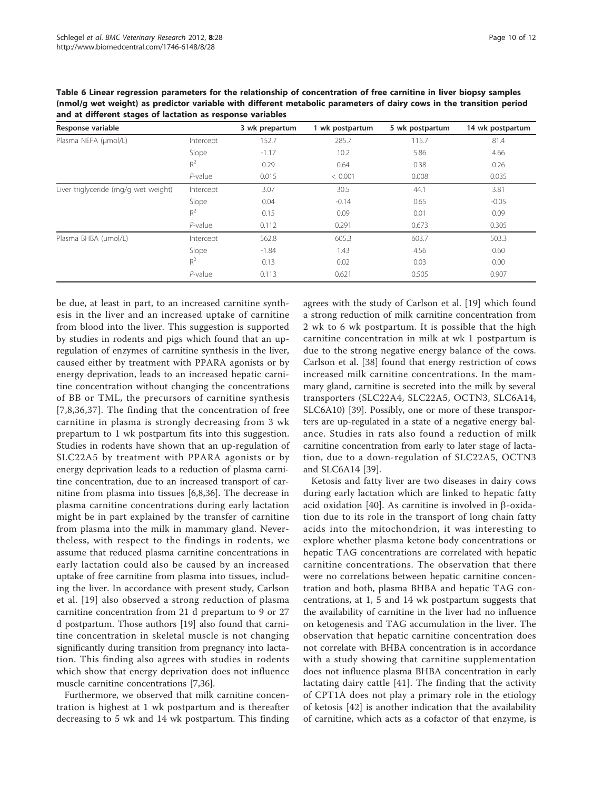| Response variable                    |            | 3 wk prepartum | 1 wk postpartum | 5 wk postpartum | 14 wk postpartum |
|--------------------------------------|------------|----------------|-----------------|-----------------|------------------|
| Plasma NEFA (µmol/L)                 | Intercept  | 152.7          | 285.7           | 115.7           | 81.4             |
|                                      | Slope      | $-1.17$        | 10.2            | 5.86            | 4.66             |
|                                      | $R^2$      | 0.29           | 0.64            | 0.38            | 0.26             |
|                                      | $P$ -value | 0.015          | < 0.001         | 0.008           | 0.035            |
| Liver triglyceride (mg/g wet weight) | Intercept  | 3.07           | 30.5            | 44.1            | 3.81             |
|                                      | Slope      | 0.04           | $-0.14$         | 0.65            | $-0.05$          |
|                                      | $R^2$      | 0.15           | 0.09            | 0.01            | 0.09             |
|                                      | $P$ -value | 0.112          | 0.291           | 0.673           | 0.305            |
| Plasma BHBA (µmol/L)                 | Intercept  | 562.8          | 605.3           | 603.7           | 503.3            |
|                                      | Slope      | $-1.84$        | 1.43            | 4.56            | 0.60             |
|                                      | $R^2$      | 0.13           | 0.02            | 0.03            | 0.00             |
|                                      | $P$ -value | 0.113          | 0.621           | 0.505           | 0.907            |

<span id="page-9-0"></span>Table 6 Linear regression parameters for the relationship of concentration of free carnitine in liver biopsy samples (nmol/g wet weight) as predictor variable with different metabolic parameters of dairy cows in the transition period and at different stages of lactation as response variables

be due, at least in part, to an increased carnitine synthesis in the liver and an increased uptake of carnitine from blood into the liver. This suggestion is supported by studies in rodents and pigs which found that an upregulation of enzymes of carnitine synthesis in the liver, caused either by treatment with PPARA agonists or by energy deprivation, leads to an increased hepatic carnitine concentration without changing the concentrations of BB or TML, the precursors of carnitine synthesis [[7](#page-10-0),[8,](#page-10-0)[36](#page-11-0),[37](#page-11-0)]. The finding that the concentration of free carnitine in plasma is strongly decreasing from 3 wk prepartum to 1 wk postpartum fits into this suggestion. Studies in rodents have shown that an up-regulation of SLC22A5 by treatment with PPARA agonists or by energy deprivation leads to a reduction of plasma carnitine concentration, due to an increased transport of carnitine from plasma into tissues [[6,8](#page-10-0)[,36](#page-11-0)]. The decrease in plasma carnitine concentrations during early lactation might be in part explained by the transfer of carnitine from plasma into the milk in mammary gland. Nevertheless, with respect to the findings in rodents, we assume that reduced plasma carnitine concentrations in early lactation could also be caused by an increased uptake of free carnitine from plasma into tissues, including the liver. In accordance with present study, Carlson et al. [[19](#page-10-0)] also observed a strong reduction of plasma carnitine concentration from 21 d prepartum to 9 or 27 d postpartum. Those authors [[19\]](#page-10-0) also found that carnitine concentration in skeletal muscle is not changing significantly during transition from pregnancy into lactation. This finding also agrees with studies in rodents which show that energy deprivation does not influence muscle carnitine concentrations [[7,](#page-10-0)[36\]](#page-11-0).

Furthermore, we observed that milk carnitine concentration is highest at 1 wk postpartum and is thereafter decreasing to 5 wk and 14 wk postpartum. This finding agrees with the study of Carlson et al. [\[19](#page-10-0)] which found a strong reduction of milk carnitine concentration from 2 wk to 6 wk postpartum. It is possible that the high carnitine concentration in milk at wk 1 postpartum is due to the strong negative energy balance of the cows. Carlson et al. [[38\]](#page-11-0) found that energy restriction of cows increased milk carnitine concentrations. In the mammary gland, carnitine is secreted into the milk by several transporters (SLC22A4, SLC22A5, OCTN3, SLC6A14, SLC6A10) [\[39\]](#page-11-0). Possibly, one or more of these transporters are up-regulated in a state of a negative energy balance. Studies in rats also found a reduction of milk carnitine concentration from early to later stage of lactation, due to a down-regulation of SLC22A5, OCTN3 and SLC6A14 [[39\]](#page-11-0).

Ketosis and fatty liver are two diseases in dairy cows during early lactation which are linked to hepatic fatty acid oxidation [[40\]](#page-11-0). As carnitine is involved in  $\beta$ -oxidation due to its role in the transport of long chain fatty acids into the mitochondrion, it was interesting to explore whether plasma ketone body concentrations or hepatic TAG concentrations are correlated with hepatic carnitine concentrations. The observation that there were no correlations between hepatic carnitine concentration and both, plasma BHBA and hepatic TAG concentrations, at 1, 5 and 14 wk postpartum suggests that the availability of carnitine in the liver had no influence on ketogenesis and TAG accumulation in the liver. The observation that hepatic carnitine concentration does not correlate with BHBA concentration is in accordance with a study showing that carnitine supplementation does not influence plasma BHBA concentration in early lactating dairy cattle [[41\]](#page-11-0). The finding that the activity of CPT1A does not play a primary role in the etiology of ketosis [\[42](#page-11-0)] is another indication that the availability of carnitine, which acts as a cofactor of that enzyme, is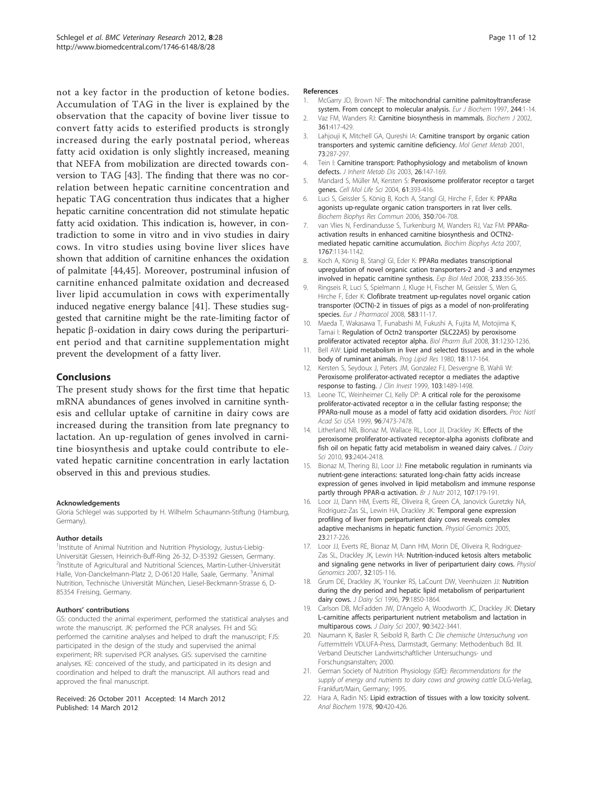<span id="page-10-0"></span>not a key factor in the production of ketone bodies. Accumulation of TAG in the liver is explained by the observation that the capacity of bovine liver tissue to convert fatty acids to esterified products is strongly increased during the early postnatal period, whereas fatty acid oxidation is only slightly increased, meaning that NEFA from mobilization are directed towards conversion to TAG [\[43\]](#page-11-0). The finding that there was no correlation between hepatic carnitine concentration and hepatic TAG concentration thus indicates that a higher hepatic carnitine concentration did not stimulate hepatic fatty acid oxidation. This indication is, however, in contradiction to some in vitro and in vivo studies in dairy cows. In vitro studies using bovine liver slices have shown that addition of carnitine enhances the oxidation of palmitate [[44,45](#page-11-0)]. Moreover, postruminal infusion of carnitine enhanced palmitate oxidation and decreased liver lipid accumulation in cows with experimentally induced negative energy balance [[41\]](#page-11-0). These studies suggested that carnitine might be the rate-limiting factor of hepatic  $\beta$ -oxidation in dairy cows during the periparturient period and that carnitine supplementation might prevent the development of a fatty liver.

## Conclusions

The present study shows for the first time that hepatic mRNA abundances of genes involved in carnitine synthesis and cellular uptake of carnitine in dairy cows are increased during the transition from late pregnancy to lactation. An up-regulation of genes involved in carnitine biosynthesis and uptake could contribute to elevated hepatic carnitine concentration in early lactation observed in this and previous studies.

#### Acknowledgements

Gloria Schlegel was supported by H. Wilhelm Schaumann-Stiftung (Hamburg, Germany).

#### Author details

<sup>1</sup>Institute of Animal Nutrition and Nutrition Physiology, Justus-Liebig-Universität Giessen, Heinrich-Buff-Ring 26-32, D-35392 Giessen, Germany. 2 Institute of Agricultural and Nutritional Sciences, Martin-Luther-Universität Halle, Von-Danckelmann-Platz 2, D-06120 Halle, Saale, Germany. <sup>3</sup>Animal Nutrition, Technische Universität München, Liesel-Beckmann-Strasse 6, D-85354 Freising, Germany.

#### Authors' contributions

GS: conducted the animal experiment, performed the statistical analyses and wrote the manuscript. JK: performed the PCR analyses. FH and SG: performed the carnitine analyses and helped to draft the manuscript; FJS: participated in the design of the study and supervised the animal experiment; RR: supervised PCR analyses. GIS: supervised the carnitine analyses. KE: conceived of the study, and participated in its design and coordination and helped to draft the manuscript. All authors read and approved the final manuscript.

#### Received: 26 October 2011 Accepted: 14 March 2012 Published: 14 March 2012

#### References

- 1. McGarry JD, Brown NF: [The mitochondrial carnitine palmitoyltransferase](http://www.ncbi.nlm.nih.gov/pubmed/9063439?dopt=Abstract) [system. From concept to molecular analysis.](http://www.ncbi.nlm.nih.gov/pubmed/9063439?dopt=Abstract) Eur J Biochem 1997, 244:1-14.
- 2. Vaz FM, Wanders RJ: [Carnitine biosynthesis in mammals.](http://www.ncbi.nlm.nih.gov/pubmed/11802770?dopt=Abstract) Biochem J 2002, 361:417-429.
- 3. Lahjouji K, Mitchell GA, Qureshi IA: [Carnitine transport by organic cation](http://www.ncbi.nlm.nih.gov/pubmed/11509010?dopt=Abstract) [transporters and systemic carnitine deficiency.](http://www.ncbi.nlm.nih.gov/pubmed/11509010?dopt=Abstract) Mol Genet Metab 2001, 73:287-297.
- 4. Tein I: [Carnitine transport: Pathophysiology and metabolism of known](http://www.ncbi.nlm.nih.gov/pubmed/12889657?dopt=Abstract) [defects.](http://www.ncbi.nlm.nih.gov/pubmed/12889657?dopt=Abstract) J Inherit Metab Dis 2003, 26:147-169.
- 5. Mandard S, Müller M, Kersten S: [Peroxisome proliferator receptor](http://www.ncbi.nlm.nih.gov/pubmed/14999402?dopt=Abstract) α target [genes.](http://www.ncbi.nlm.nih.gov/pubmed/14999402?dopt=Abstract) Cell Mol Life Sci 2004, 61:393-416.
- 6. Luci S, Geissler S, König B, Koch A, Stangl GI, Hirche F, Eder K: [PPAR](http://www.ncbi.nlm.nih.gov/pubmed/17011512?dopt=Abstract)α [agonists up-regulate organic cation transporters in rat liver cells.](http://www.ncbi.nlm.nih.gov/pubmed/17011512?dopt=Abstract) Biochem Biophys Res Commun 2006, 350:704-708.
- 7. van Vlies N, Ferdinandusse S, Turkenburg M, Wanders RJ, Vaz FM: [PPAR](http://www.ncbi.nlm.nih.gov/pubmed/17692817?dopt=Abstract)a[activation results in enhanced carnitine biosynthesis and OCTN2](http://www.ncbi.nlm.nih.gov/pubmed/17692817?dopt=Abstract) [mediated hepatic carnitine accumulation.](http://www.ncbi.nlm.nih.gov/pubmed/17692817?dopt=Abstract) Biochim Biophys Acta 2007, 1767:1134-1142.
- 8. Koch A, König B, Stangl Gl, Eder K: PPARa mediates transcriptional upregulation of novel organic cation transporters-2 and -3 and enzymes involved in hepatic carnitine synthesis. Exp Biol Med 2008, 233:356-365.
- 9. Ringseis R, Luci S, Spielmann J, Kluge H, Fischer M, Geissler S, Wen G, Hirche F, Eder K: [Clofibrate treatment up-regulates novel organic cation](http://www.ncbi.nlm.nih.gov/pubmed/18258227?dopt=Abstract) [transporter \(OCTN\)-2 in tissues of pigs as a model of non-proliferating](http://www.ncbi.nlm.nih.gov/pubmed/18258227?dopt=Abstract) [species.](http://www.ncbi.nlm.nih.gov/pubmed/18258227?dopt=Abstract) Eur J Pharmacol 2008, 583:11-17.
- 10. Maeda T, Wakasawa T, Funabashi M, Fukushi A, Fujita M, Motojima K, Tamai I: [Regulation of Octn2 transporter \(SLC22A5\) by peroxisome](http://www.ncbi.nlm.nih.gov/pubmed/18520060?dopt=Abstract) [proliferator activated receptor alpha.](http://www.ncbi.nlm.nih.gov/pubmed/18520060?dopt=Abstract) Biol Pharm Bull 2008, 31:1230-1236.
- 11. Bell AW: Lipid metabolism in liver and selected tissues and in the whole body of ruminant animals. Prog Lipid Res 1980, 18:117-164.
- 12. Kersten S, Seydoux J, Peters JM, Gonzalez FJ, Desvergne B, Wahli W: [Peroxisome proliferator-activated receptor](http://www.ncbi.nlm.nih.gov/pubmed/10359558?dopt=Abstract) α mediates the adaptive [response to fasting.](http://www.ncbi.nlm.nih.gov/pubmed/10359558?dopt=Abstract) J Clin Invest 1999, 103:1489-1498.
- 13. Leone TC, Weinheimer CJ, Kelly DP: [A critical role for the peroxisome](http://www.ncbi.nlm.nih.gov/pubmed/10377439?dopt=Abstract) proliferator-activated receptor α [in the cellular fasting response; the](http://www.ncbi.nlm.nih.gov/pubmed/10377439?dopt=Abstract) PPARα-null [mouse as a model of fatty acid oxidation disorders.](http://www.ncbi.nlm.nih.gov/pubmed/10377439?dopt=Abstract) Proc Natl Acad Sci USA 1999, 96:7473-7478.
- 14. Litherland NB, Bionaz M, Wallace RL, Loor JJ, Drackley JK: [Effects of the](http://www.ncbi.nlm.nih.gov/pubmed/20494149?dopt=Abstract) [peroxisome proliferator-activated receptor-alpha agonists clofibrate and](http://www.ncbi.nlm.nih.gov/pubmed/20494149?dopt=Abstract) [fish oil on hepatic fatty acid metabolism in weaned dairy calves.](http://www.ncbi.nlm.nih.gov/pubmed/20494149?dopt=Abstract) J Dairy Sci 2010. 93:2404-2418.
- 15. Bionaz M, Thering BJ, Loor JJ: [Fine metabolic regulation in ruminants via](http://www.ncbi.nlm.nih.gov/pubmed/21729373?dopt=Abstract) [nutrient-gene interactions: saturated long-chain fatty acids increase](http://www.ncbi.nlm.nih.gov/pubmed/21729373?dopt=Abstract) [expression of genes involved in lipid metabolism and immune response](http://www.ncbi.nlm.nih.gov/pubmed/21729373?dopt=Abstract) [partly through PPAR-](http://www.ncbi.nlm.nih.gov/pubmed/21729373?dopt=Abstract)α activation. Br J Nutr 2012, 107:179-191.
- 16. Loor JJ, Dann HM, Everts RE, Oliveira R, Green CA, Janovick Guretzky NA, Rodriguez-Zas SL, Lewin HA, Drackley JK: [Temporal gene expression](http://www.ncbi.nlm.nih.gov/pubmed/16091418?dopt=Abstract) [profiling of liver from periparturient dairy cows reveals complex](http://www.ncbi.nlm.nih.gov/pubmed/16091418?dopt=Abstract) [adaptive mechanisms in hepatic function.](http://www.ncbi.nlm.nih.gov/pubmed/16091418?dopt=Abstract) Physiol Genomics 2005, 23:217-226.
- 17. Loor JJ, Everts RE, Bionaz M, Dann HM, Morin DE, Oliveira R, Rodriguez-Zas SL, Drackley JK, Lewin HA: [Nutrition-induced ketosis alters metabolic](http://www.ncbi.nlm.nih.gov/pubmed/17925483?dopt=Abstract) [and signaling gene networks in liver of periparturient dairy cows.](http://www.ncbi.nlm.nih.gov/pubmed/17925483?dopt=Abstract) Physiol Genomics 2007, 32:105-116.
- 18. Grum DE, Drackley JK, Younker RS, LaCount DW, Veenhuizen JJ: [Nutrition](http://www.ncbi.nlm.nih.gov/pubmed/8923256?dopt=Abstract) [during the dry period and hepatic lipid metabolism of periparturient](http://www.ncbi.nlm.nih.gov/pubmed/8923256?dopt=Abstract) [dairy cows.](http://www.ncbi.nlm.nih.gov/pubmed/8923256?dopt=Abstract) J Dairy Sci 1996, 79:1850-1864.
- 19. Carlson DB, McFadden JW, D'Angelo A, Woodworth JC, Drackley JK: [Dietary](http://www.ncbi.nlm.nih.gov/pubmed/17582127?dopt=Abstract) [L-carnitine affects periparturient nutrient metabolism and lactation in](http://www.ncbi.nlm.nih.gov/pubmed/17582127?dopt=Abstract) [multiparous cows.](http://www.ncbi.nlm.nih.gov/pubmed/17582127?dopt=Abstract) J Dairy Sci 2007, 90:3422-3441.
- 20. Naumann K, Basler R, Seibold R, Barth C: Die chemische Untersuchung von Futtermitteln VDLUFA-Press, Darmstadt, Germany: Methodenbuch Bd. III. Verband Deutscher Landwirtschaftlicher Untersuchungs- und Forschungsanstalten; 2000.
- 21. German Society of Nutrition Physiology (GfE): Recommendations for the supply of energy and nutrients to dairy cows and growing cattle DLG-Verlag, Frankfurt/Main, Germany; 1995.
- 22. Hara A, Radin NS: [Lipid extraction of tissues with a low toxicity solvent.](http://www.ncbi.nlm.nih.gov/pubmed/727482?dopt=Abstract) Anal Biochem 1978, 90:420-426.